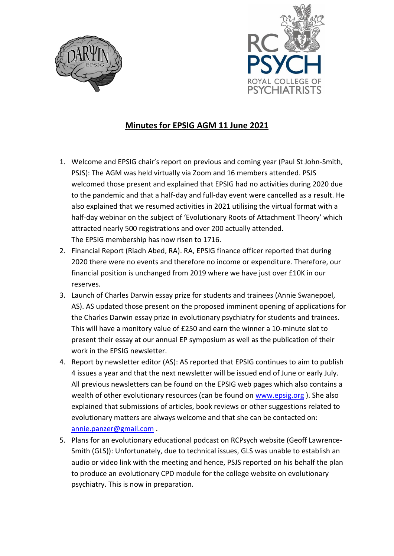



## **Minutes for EPSIG AGM 11 June 2021**

- 1. Welcome and EPSIG chair's report on previous and coming year (Paul St John-Smith, PSJS): The AGM was held virtually via Zoom and 16 members attended. PSJS welcomed those present and explained that EPSIG had no activities during 2020 due to the pandemic and that a half-day and full-day event were cancelled as a result. He also explained that we resumed activities in 2021 utilising the virtual format with a half-day webinar on the subject of 'Evolutionary Roots of Attachment Theory' which attracted nearly 500 registrations and over 200 actually attended. The EPSIG membership has now risen to 1716.
- 2. Financial Report (Riadh Abed, RA). RA, EPSIG finance officer reported that during 2020 there were no events and therefore no income or expenditure. Therefore, our financial position is unchanged from 2019 where we have just over £10K in our reserves.
- 3. Launch of Charles Darwin essay prize for students and trainees (Annie Swanepoel, AS). AS updated those present on the proposed imminent opening of applications for the Charles Darwin essay prize in evolutionary psychiatry for students and trainees. This will have a monitory value of £250 and earn the winner a 10-minute slot to present their essay at our annual EP symposium as well as the publication of their work in the EPSIG newsletter.
- 4. Report by newsletter editor (AS): AS reported that EPSIG continues to aim to publish 4 issues a year and that the next newsletter will be issued end of June or early July. All previous newsletters can be found on the EPSIG web pages which also contains a wealth of other evolutionary resources (can be found on [www.epsig.org](http://www.epsig.org/) ). She also explained that submissions of articles, book reviews or other suggestions related to evolutionary matters are always welcome and that she can be contacted on: [annie.panzer@gmail.com](mailto:annie.panzer@gmail.com) .
- 5. Plans for an evolutionary educational podcast on RCPsych website (Geoff Lawrence-Smith (GLS)): Unfortunately, due to technical issues, GLS was unable to establish an audio or video link with the meeting and hence, PSJS reported on his behalf the plan to produce an evolutionary CPD module for the college website on evolutionary psychiatry. This is now in preparation.